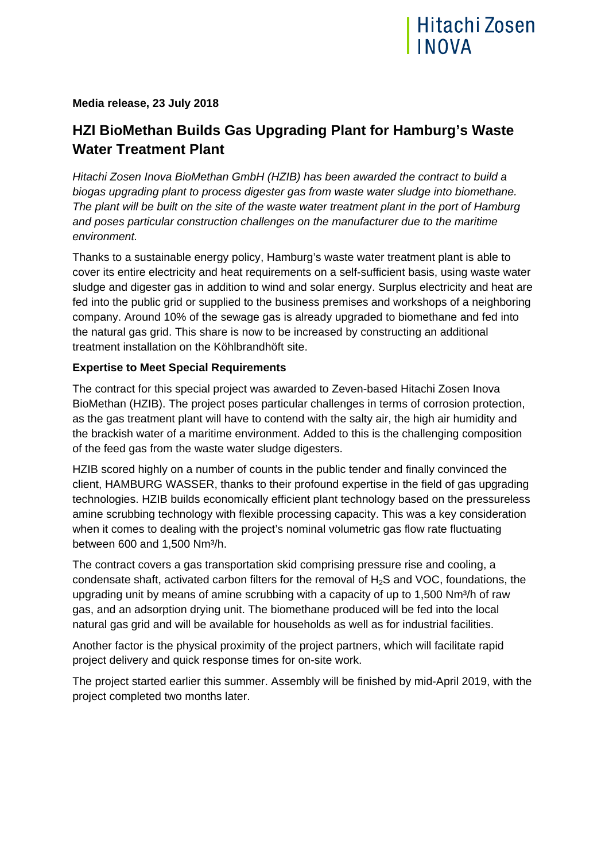

## **Media release, 23 July 2018**

# **HZI BioMethan Builds Gas Upgrading Plant for Hamburg's Waste Water Treatment Plant**

*Hitachi Zosen Inova BioMethan GmbH (HZIB) has been awarded the contract to build a biogas upgrading plant to process digester gas from waste water sludge into biomethane. The plant will be built on the site of the waste water treatment plant in the port of Hamburg and poses particular construction challenges on the manufacturer due to the maritime environment.* 

Thanks to a sustainable energy policy, Hamburg's waste water treatment plant is able to cover its entire electricity and heat requirements on a self-sufficient basis, using waste water sludge and digester gas in addition to wind and solar energy. Surplus electricity and heat are fed into the public grid or supplied to the business premises and workshops of a neighboring company. Around 10% of the sewage gas is already upgraded to biomethane and fed into the natural gas grid. This share is now to be increased by constructing an additional treatment installation on the Köhlbrandhöft site.

### **Expertise to Meet Special Requirements**

The contract for this special project was awarded to Zeven-based Hitachi Zosen Inova BioMethan (HZIB). The project poses particular challenges in terms of corrosion protection, as the gas treatment plant will have to contend with the salty air, the high air humidity and the brackish water of a maritime environment. Added to this is the challenging composition of the feed gas from the waste water sludge digesters.

HZIB scored highly on a number of counts in the public tender and finally convinced the client, HAMBURG WASSER, thanks to their profound expertise in the field of gas upgrading technologies. HZIB builds economically efficient plant technology based on the pressureless amine scrubbing technology with flexible processing capacity. This was a key consideration when it comes to dealing with the project's nominal volumetric gas flow rate fluctuating between 600 and 1,500 Nm³/h.

The contract covers a gas transportation skid comprising pressure rise and cooling, a condensate shaft, activated carbon filters for the removal of H2S and VOC, foundations, the upgrading unit by means of amine scrubbing with a capacity of up to 1,500 Nm<sup>3</sup>/h of raw gas, and an adsorption drying unit. The biomethane produced will be fed into the local natural gas grid and will be available for households as well as for industrial facilities.

Another factor is the physical proximity of the project partners, which will facilitate rapid project delivery and quick response times for on-site work.

The project started earlier this summer. Assembly will be finished by mid-April 2019, with the project completed two months later.